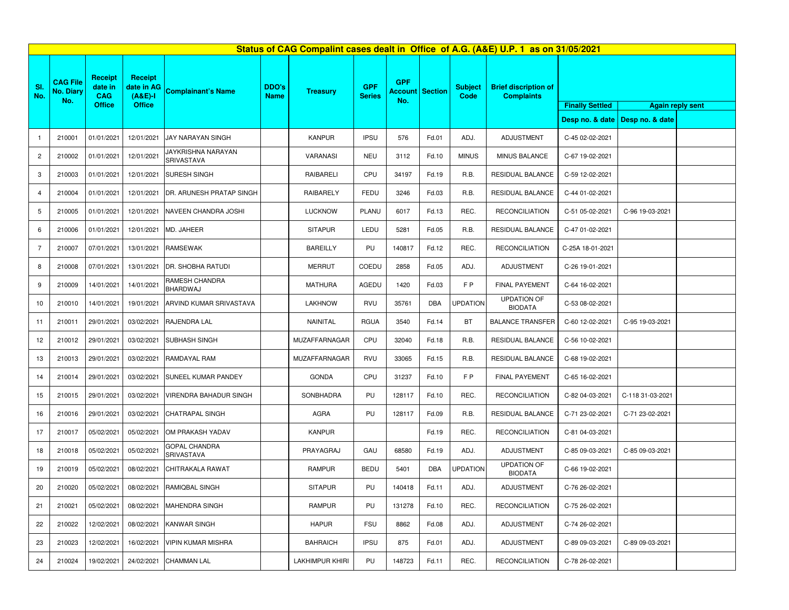| Status of CAG Compalint cases dealt in Office of A.G. (A&E) U.P. 1 as on 31/05/2021 |                                     |                                                          |                                                            |                                  |                             |                        |                             |                                             |            |                        |                                                  |                         |                                   |  |
|-------------------------------------------------------------------------------------|-------------------------------------|----------------------------------------------------------|------------------------------------------------------------|----------------------------------|-----------------------------|------------------------|-----------------------------|---------------------------------------------|------------|------------------------|--------------------------------------------------|-------------------------|-----------------------------------|--|
| SI.<br>No.                                                                          | <b>CAG File</b><br>No. Diary<br>No. | <b>Receipt</b><br>date in<br><b>CAG</b><br><b>Office</b> | <b>Receipt</b><br>date in AG<br>$(A&E)-I$<br><b>Office</b> | <b>Complainant's Name</b>        | <b>DDO's</b><br><b>Name</b> | <b>Treasury</b>        | <b>GPF</b><br><b>Series</b> | <b>GPF</b><br><b>Account Section</b><br>No. |            | <b>Subject</b><br>Code | <b>Brief discription of</b><br><b>Complaints</b> | <b>Again reply sent</b> |                                   |  |
|                                                                                     |                                     |                                                          |                                                            |                                  |                             |                        |                             |                                             |            |                        |                                                  | <b>Finally Settled</b>  | Desp no. & date   Desp no. & date |  |
|                                                                                     |                                     |                                                          |                                                            |                                  |                             |                        |                             |                                             |            |                        |                                                  |                         |                                   |  |
| $\mathbf{1}$                                                                        | 210001                              | 01/01/2021                                               | 12/01/2021                                                 | JAY NARAYAN SINGH                |                             | <b>KANPUR</b>          | <b>IPSU</b>                 | 576                                         | Fd.01      | ADJ.                   | <b>ADJUSTMENT</b>                                | C-45 02-02-2021         |                                   |  |
| $\overline{c}$                                                                      | 210002                              | 01/01/2021                                               | 12/01/2021                                                 | JAYKRISHNA NARAYAN<br>SRIVASTAVA |                             | VARANASI               | NEU                         | 3112                                        | Fd.10      | <b>MINUS</b>           | MINUS BALANCE                                    | C-67 19-02-2021         |                                   |  |
| 3                                                                                   | 210003                              | 01/01/2021                                               | 12/01/2021                                                 | SURESH SINGH                     |                             | RAIBARELI              | CPU                         | 34197                                       | Fd.19      | R.B.                   | RESIDUAL BALANCE                                 | C-59 12-02-2021         |                                   |  |
| $\overline{4}$                                                                      | 210004                              | 01/01/2021                                               | 12/01/2021                                                 | DR. ARUNESH PRATAP SINGH         |                             | RAIBARELY              | FEDU                        | 3246                                        | Fd.03      | R.B.                   | RESIDUAL BALANCE                                 | C-44 01-02-2021         |                                   |  |
| 5                                                                                   | 210005                              | 01/01/2021                                               | 12/01/2021                                                 | NAVEEN CHANDRA JOSHI             |                             | <b>LUCKNOW</b>         | <b>PLANU</b>                | 6017                                        | Fd.13      | REC.                   | <b>RECONCILIATION</b>                            | C-51 05-02-2021         | C-96 19-03-2021                   |  |
| 6                                                                                   | 210006                              | 01/01/2021                                               | 12/01/2021                                                 | MD. JAHEER                       |                             | <b>SITAPUR</b>         | LEDU                        | 5281                                        | Fd.05      | R.B.                   | RESIDUAL BALANCE                                 | C-47 01-02-2021         |                                   |  |
| $\overline{7}$                                                                      | 210007                              | 07/01/2021                                               | 13/01/2021                                                 | <b>RAMSEWAK</b>                  |                             | <b>BAREILLY</b>        | PU                          | 140817                                      | Fd.12      | REC.                   | <b>RECONCILIATION</b>                            | C-25A 18-01-2021        |                                   |  |
| 8                                                                                   | 210008                              | 07/01/2021                                               | 13/01/2021                                                 | DR. SHOBHA RATUDI                |                             | <b>MERRUT</b>          | COEDU                       | 2858                                        | Fd.05      | ADJ.                   | ADJUSTMENT                                       | C-26 19-01-2021         |                                   |  |
| 9                                                                                   | 210009                              | 14/01/2021                                               | 14/01/2021                                                 | RAMESH CHANDRA<br>BHARDWAJ       |                             | <b>MATHURA</b>         | AGEDU                       | 1420                                        | Fd.03      | FP                     | FINAL PAYEMENT                                   | C-64 16-02-2021         |                                   |  |
| 10                                                                                  | 210010                              | 14/01/2021                                               | 19/01/2021                                                 | ARVIND KUMAR SRIVASTAVA          |                             | <b>LAKHNOW</b>         | <b>RVU</b>                  | 35761                                       | <b>DBA</b> | <b>UPDATION</b>        | <b>UPDATION OF</b><br><b>BIODATA</b>             | C-53 08-02-2021         |                                   |  |
| 11                                                                                  | 210011                              | 29/01/2021                                               | 03/02/2021                                                 | RAJENDRA LAL                     |                             | NAINITAL               | <b>RGUA</b>                 | 3540                                        | Fd.14      | <b>BT</b>              | <b>BALANCE TRANSFER</b>                          | C-60 12-02-2021         | C-95 19-03-2021                   |  |
| 12                                                                                  | 210012                              | 29/01/2021                                               | 03/02/2021                                                 | SUBHASH SINGH                    |                             | MUZAFFARNAGAR          | CPU                         | 32040                                       | Fd.18      | R.B.                   | RESIDUAL BALANCE                                 | C-56 10-02-2021         |                                   |  |
| 13                                                                                  | 210013                              | 29/01/2021                                               | 03/02/2021                                                 | RAMDAYAL RAM                     |                             | MUZAFFARNAGAR          | RVU                         | 33065                                       | Fd.15      | R.B.                   | RESIDUAL BALANCE                                 | C-68 19-02-2021         |                                   |  |
| 14                                                                                  | 210014                              | 29/01/2021                                               | 03/02/2021                                                 | SUNEEL KUMAR PANDEY              |                             | <b>GONDA</b>           | CPU                         | 31237                                       | Fd.10      | F <sub>P</sub>         | FINAL PAYEMENT                                   | C-65 16-02-2021         |                                   |  |
| 15                                                                                  | 210015                              | 29/01/2021                                               | 03/02/2021                                                 | VIRENDRA BAHADUR SINGH           |                             | SONBHADRA              | PU                          | 128117                                      | Fd.10      | REC.                   | <b>RECONCILIATION</b>                            | C-82 04-03-2021         | C-118 31-03-2021                  |  |
| 16                                                                                  | 210016                              | 29/01/2021                                               | 03/02/2021                                                 | CHATRAPAL SINGH                  |                             | AGRA                   | PU                          | 128117                                      | Fd.09      | R.B.                   | RESIDUAL BALANCE                                 | C-71 23-02-2021         | C-71 23-02-2021                   |  |
| 17                                                                                  | 210017                              | 05/02/2021                                               | 05/02/2021                                                 | OM PRAKASH YADAV                 |                             | <b>KANPUR</b>          |                             |                                             | Fd.19      | REC.                   | <b>RECONCILIATION</b>                            | C-81 04-03-2021         |                                   |  |
| 18                                                                                  | 210018                              | 05/02/2021                                               | 05/02/2021                                                 | GOPAL CHANDRA<br>SRIVASTAVA      |                             | PRAYAGRAJ              | GAU                         | 68580                                       | Fd.19      | ADJ.                   | ADJUSTMENT                                       | C-85 09-03-2021         | C-85 09-03-2021                   |  |
| 19                                                                                  | 210019                              | 05/02/2021                                               | 08/02/2021                                                 | CHITRAKALA RAWAT                 |                             | RAMPUR                 | <b>BEDU</b>                 | 5401                                        | <b>DBA</b> | <b>UPDATION</b>        | <b>UPDATION OF</b><br><b>BIODATA</b>             | C-66 19-02-2021         |                                   |  |
| 20                                                                                  | 210020                              | 05/02/2021                                               |                                                            | 08/02/2021 RAMIQBAL SINGH        |                             | <b>SITAPUR</b>         | PU                          | 140418                                      | Fd.11      | ADJ.                   | ADJUSTMENT                                       | C-76 26-02-2021         |                                   |  |
| 21                                                                                  | 210021                              | 05/02/2021                                               | 08/02/2021                                                 | <b>MAHENDRA SINGH</b>            |                             | <b>RAMPUR</b>          | PU                          | 131278                                      | Fd.10      | REC.                   | <b>RECONCILIATION</b>                            | C-75 26-02-2021         |                                   |  |
| 22                                                                                  | 210022                              | 12/02/2021                                               | 08/02/2021                                                 | KANWAR SINGH                     |                             | <b>HAPUR</b>           | <b>FSU</b>                  | 8862                                        | Fd.08      | ADJ.                   | ADJUSTMENT                                       | C-74 26-02-2021         |                                   |  |
| 23                                                                                  | 210023                              | 12/02/2021                                               | 16/02/2021                                                 | VIPIN KUMAR MISHRA               |                             | <b>BAHRAICH</b>        | <b>IPSU</b>                 | 875                                         | Fd.01      | ADJ.                   | ADJUSTMENT                                       | C-89 09-03-2021         | C-89 09-03-2021                   |  |
| 24                                                                                  | 210024                              | 19/02/2021                                               | 24/02/2021                                                 | <b>CHAMMAN LAL</b>               |                             | <b>LAKHIMPUR KHIRI</b> | PU                          | 148723                                      | Fd.11      | REC.                   | <b>RECONCILIATION</b>                            | C-78 26-02-2021         |                                   |  |